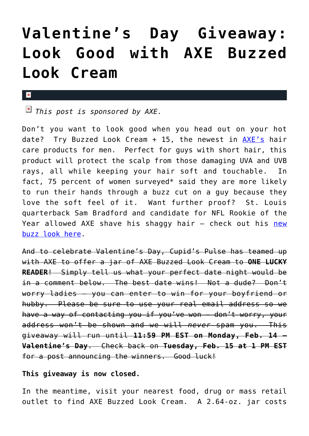## **[Valentine's Day Giveaway:](https://cupidspulse.com/10680/valentines-day-axe-buzzed-look-cream/) [Look Good with AXE Buzzed](https://cupidspulse.com/10680/valentines-day-axe-buzzed-look-cream/) [Look Cream](https://cupidspulse.com/10680/valentines-day-axe-buzzed-look-cream/)**

## $\mathbf{x}$

*This post is sponsored by AXE.*

Don't you want to look good when you head out on your hot date? Try Buzzed Look Cream  $+$  15, the newest in  $AXE's$  hair care products for men. Perfect for guys with short hair, this product will protect the scalp from those damaging UVA and UVB rays, all while keeping your hair soft and touchable. In fact, 75 percent of women surveyed\* said they are more likely to run their hands through a buzz cut on a guy because they love the soft feel of it. Want further proof? St. Louis quarterback Sam Bradford and candidate for NFL Rookie of the Year allowed AXE shave his shaggy hair - check out his [new](http://www.prnewswire.com/news-releases/st-louis-quarterback-and-rookie-of-the-year-contender-gets-buzzed-with-axe-hair-114671044.html) [buzz look here](http://www.prnewswire.com/news-releases/st-louis-quarterback-and-rookie-of-the-year-contender-gets-buzzed-with-axe-hair-114671044.html).

And to celebrate Valentine's Day, Cupid's Pulse has teamed up with AXE to offer a jar of AXE Buzzed Look Cream to **ONE LUCKY READER**! Simply tell us what your perfect date night would be in a comment below. The best date wins! Not a dude? Don't worry ladies – you can enter to win for your boyfriend or hubby. Please be sure to use your real email address so we have a way of contacting you if you've won – don't worry, your address won't be shown and we will *never* spam you. This giveaway will run until **11:59 PM EST on Monday, Feb. 14 – Valentine's Day**. Check back on **Tuesday, Feb. 15 at 1 PM EST** for a post announcing the winners. Good luck!

## **This giveaway is now closed.**

In the meantime, visit your nearest food, drug or mass retail outlet to find AXE Buzzed Look Cream. A 2.64-oz. jar costs